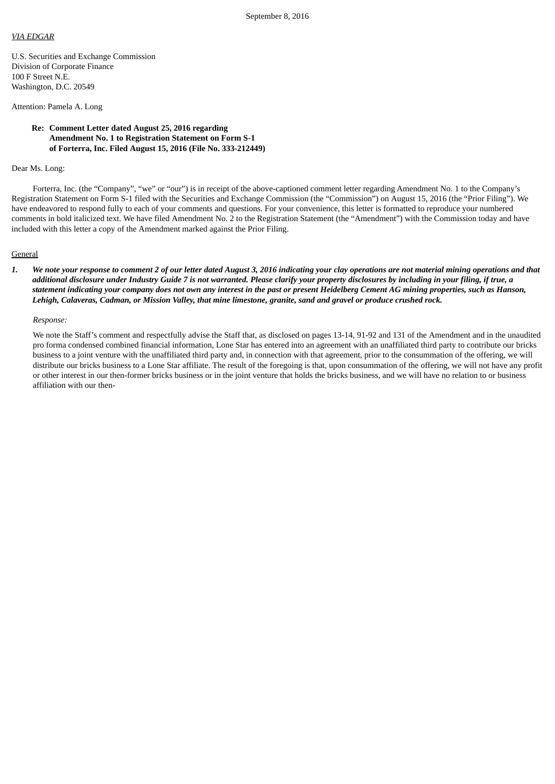### *VIA EDGAR*

U.S. Securities and Exchange Commission Division of Corporate Finance 100 F Street N.E. Washington, D.C. 20549

# Attention: Pamela A. Long

# **Re: Comment Letter dated August 25, 2016 regarding Amendment No. 1 to Registration Statement on Form S-1 of Forterra, Inc. Filed August 15, 2016 (File No. 333-212449)**

### Dear Ms. Long:

Forterra, Inc. (the "Company", "we" or "our") is in receipt of the above-captioned comment letter regarding Amendment No. 1 to the Company's Registration Statement on Form S-1 filed with the Securities and Exchange Commission (the "Commission") on August 15, 2016 (the "Prior Filing"). We have endeavored to respond fully to each of your comments and questions. For your convenience, this letter is formatted to reproduce your numbered comments in bold italicized text. We have filed Amendment No. 2 to the Registration Statement (the "Amendment") with the Commission today and have included with this letter a copy of the Amendment marked against the Prior Filing.

#### **General**

1. We note your response to comment 2 of our letter dated August 3, 2016 indicating your clay operations are not material mining operations and that additional disclosure under Industry Guide 7 is not warranted. Please clarify your property disclosures by including in your filing, if true, a statement indicating your company does not own any interest in the past or present Heidelberg Cement AG mining properties, such as Hanson, Lehigh, Calaveras, Cadman, or Mission Valley, that mine limestone, granite, sand and gravel or produce crushed rock.

### *Response:*

We note the Staff's comment and respectfully advise the Staff that, as disclosed on pages 13-14, 91-92 and 131 of the Amendment and in the unaudited pro forma condensed combined financial information, Lone Star has entered into an agreement with an unaffiliated third party to contribute our bricks business to a joint venture with the unaffiliated third party and, in connection with that agreement, prior to the consummation of the offering, we will distribute our bricks business to a Lone Star affiliate. The result of the foregoing is that, upon consummation of the offering, we will not have any profit or other interest in our then-former bricks business or in the joint venture that holds the bricks business, and we will have no relation to or business affiliation with our then-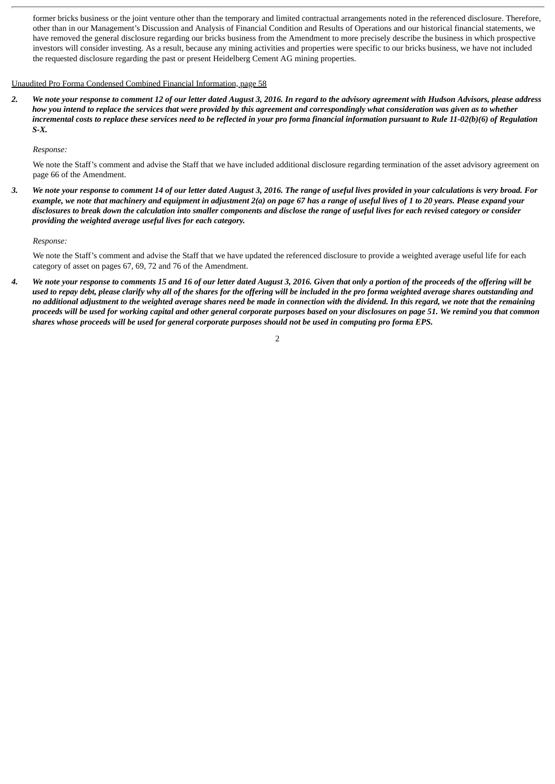former bricks business or the joint venture other than the temporary and limited contractual arrangements noted in the referenced disclosure. Therefore, other than in our Management's Discussion and Analysis of Financial Condition and Results of Operations and our historical financial statements, we have removed the general disclosure regarding our bricks business from the Amendment to more precisely describe the business in which prospective investors will consider investing. As a result, because any mining activities and properties were specific to our bricks business, we have not included the requested disclosure regarding the past or present Heidelberg Cement AG mining properties.

# Unaudited Pro Forma Condensed Combined Financial Information, page 58

2. We note your response to comment 12 of our letter dated August 3, 2016. In regard to the advisory agreement with Hudson Advisors, please address how you intend to replace the services that were provided by this agreement and correspondingly what consideration was given as to whether incremental costs to replace these services need to be reflected in your pro forma financial information pursuant to Rule 11-02(b)(6) of Regulation *S-X.*

*Response:*

We note the Staff's comment and advise the Staff that we have included additional disclosure regarding termination of the asset advisory agreement on page 66 of the Amendment.

3. We note your response to comment 14 of our letter dated August 3, 2016. The range of useful lives provided in your calculations is very broad. For example, we note that machinery and equipment in adjustment 2(a) on page 67 has a range of useful lives of 1 to 20 years. Please expand your disclosures to break down the calculation into smaller components and disclose the range of useful lives for each revised category or consider *providing the weighted average useful lives for each category.*

## *Response:*

We note the Staff's comment and advise the Staff that we have updated the referenced disclosure to provide a weighted average useful life for each category of asset on pages 67, 69, 72 and 76 of the Amendment.

4. We note your response to comments 15 and 16 of our letter dated August 3, 2016. Given that only a portion of the proceeds of the offering will be used to repay debt, please clarify why all of the shares for the offering will be included in the pro forma weighted average shares outstanding and no additional adjustment to the weighted average shares need be made in connection with the dividend. In this regard, we note that the remaining proceeds will be used for working capital and other general corporate purposes based on your disclosures on page 51. We remind you that common shares whose proceeds will be used for general corporate purposes should not be used in computing pro forma EPS.

2